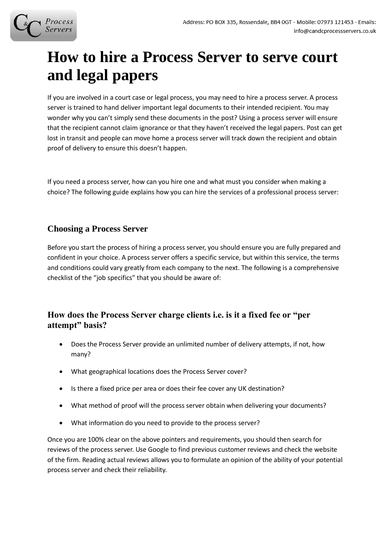# **How to hire a Process Server to serve court and legal papers**

If you are involved in a court case or legal process, you may need to hire a process server. A process server is trained to hand deliver important legal documents to their intended recipient. You may wonder why you can't simply send these documents in the post? Using a process server will ensure that the recipient cannot claim ignorance or that they haven't received the legal papers. Post can get lost in transit and people can move home a process server will track down the recipient and obtain proof of delivery to ensure this doesn't happen.

If you need a process server, how can you hire one and what must you consider when making a choice? The following guide explains how you can hire the services of a professional process server:

## **Choosing a Process Server**

Before you start the process of hiring a process server, you should ensure you are fully prepared and confident in your choice. A process server offers a specific service, but within this service, the terms and conditions could vary greatly from each company to the next. The following is a comprehensive checklist of the "job specifics" that you should be aware of:

### **How does the Process Server charge clients i.e. is it a fixed fee or "per attempt" basis?**

- Does the Process Server provide an unlimited number of delivery attempts, if not, how many?
- What geographical locations does the Process Server cover?
- Is there a fixed price per area or does their fee cover any UK destination?
- What method of proof will the process server obtain when delivering your documents?
- What information do you need to provide to the process server?

Once you are 100% clear on the above pointers and requirements, you should then search for reviews of the process server. Use Google to find previous customer reviews and check the website of the firm. Reading actual reviews allows you to formulate an opinion of the ability of your potential process server and check their reliability.